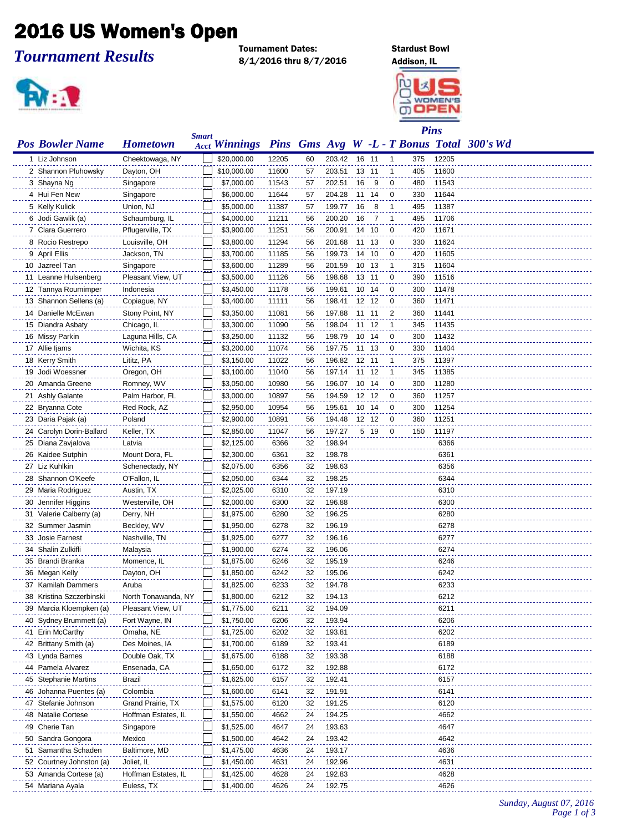## 2016 US Women's Open

*Tournament Results*

Tournament Dates: Stardust Bowl 8/1/2016 thru 8/7/2016 Addison, IL





| <b>Pos Bowler Name</b>   | <b>Hometown</b>     | <b>Smart</b> | <b>Acct Winnings</b> |       |    |        |       |       |              | $\bf{l}$ lies |       | Pins Gms Avg W -L - T Bonus Total 300's Wd |
|--------------------------|---------------------|--------------|----------------------|-------|----|--------|-------|-------|--------------|---------------|-------|--------------------------------------------|
| 1 Liz Johnson            | Cheektowaga, NY     |              | \$20,000.00          | 12205 | 60 | 203.42 |       | 16 11 | $\mathbf{1}$ | 375           | 12205 |                                            |
| 2 Shannon Pluhowsky      | Dayton, OH          |              | \$10,000.00          | 11600 | 57 | 203.51 |       | 13 11 | 1            | 405           | 11600 |                                            |
| 3 Shayna Ng              | Singapore           |              | \$7,000.00           | 11543 | 57 | 202.51 | 16    | 9     | 0            | 480           | 11543 |                                            |
| 4 Hui Fen New            | Singapore           |              | \$6,000.00           | 11644 | 57 | 204.28 | 11    | - 14  | 0            | 330           | 11644 |                                            |
| 5 Kelly Kulick           | Union, NJ           |              | \$5,000.00           | 11387 | 57 | 199.77 | 16    | 8     | 1            | 495           | 11387 |                                            |
| 6 Jodi Gawlik (a)        | Schaumburg, IL      |              | \$4,000.00           | 11211 | 56 | 200.20 | 16    | 7     | 1            | 495           | 11706 |                                            |
| 7 Clara Guerrero         | Pflugerville, TX    |              | \$3,900.00           | 11251 | 56 | 200.91 |       | 14 10 | 0            | 420           | 11671 |                                            |
| 8 Rocio Restrepo         | Louisville, OH      |              | \$3,800.00           | 11294 | 56 | 201.68 | 11 13 |       | 0            | 330           | 11624 |                                            |
| 9 April Ellis            | Jackson, TN         |              | \$3,700.00           | 11185 | 56 | 199.73 |       | 14 10 | 0            | 420           | 11605 |                                            |
| 10 Jazreel Tan           | Singapore           |              | \$3,600.00           | 11289 | 56 | 201.59 |       | 10 13 | 1            | 315           | 11604 |                                            |
| 11 Leanne Hulsenberg     | Pleasant View, UT   |              | \$3,500.00           | 11126 | 56 | 198.68 |       | 13 11 | 0            | 390           | 11516 |                                            |
| 12 Tannya Roumimper      | Indonesia           |              | \$3,450.00           | 11178 | 56 | 199.61 |       | 10 14 | 0            | 300           | 11478 |                                            |
| 13 Shannon Sellens (a)   | Copiague, NY        |              | \$3,400.00           | 11111 | 56 | 198.41 |       | 12 12 | 0            | 360           | 11471 |                                            |
| 14 Danielle McEwan       | Stony Point, NY     |              | \$3,350.00           | 11081 | 56 | 197.88 |       | 11 11 | 2            | 360           | 11441 |                                            |
| 15 Diandra Asbaty        | Chicago, IL         |              | \$3,300.00           | 11090 | 56 | 198.04 |       | 11 12 | $\mathbf{1}$ | 345           | 11435 |                                            |
| 16 Missy Parkin          | Laguna Hills, CA    |              | \$3,250.00           | 11132 | 56 | 198.79 | 10 14 |       | 0            | 300           | 11432 |                                            |
| 17 Allie ljams           | Wichita, KS         |              | \$3,200.00           | 11074 | 56 | 197.75 | 11 13 |       | 0            | 330           | 11404 |                                            |
| 18 Kerry Smith           | Lititz, PA          |              | \$3,150.00           | 11022 | 56 | 196.82 |       | 12 11 | 1            | 375           | 11397 |                                            |
| 19 Jodi Woessner         | Oregon, OH          |              | \$3,100.00           | 11040 | 56 | 197.14 |       | 11 12 | 1            | 345           | 11385 |                                            |
| 20 Amanda Greene         | Romney, WV          |              | \$3,050.00           | 10980 | 56 | 196.07 |       | 10 14 | 0            | 300           | 11280 |                                            |
| 21 Ashly Galante         | Palm Harbor, FL     |              | \$3,000.00           | 10897 | 56 | 194.59 |       | 12 12 | 0            | 360           | 11257 |                                            |
| 22 Bryanna Cote          | Red Rock, AZ        |              | \$2,950.00           | 10954 | 56 | 195.61 |       | 10 14 | 0            | 300           | 11254 |                                            |
| 23 Daria Pajak (a)       | Poland              |              | \$2,900.00           | 10891 | 56 | 194.48 |       | 12 12 | 0            | 360           | 11251 |                                            |
| 24 Carolyn Dorin-Ballard | Keller, TX          |              | \$2,850.00           | 11047 | 56 | 197.27 |       | 5 19  | $\mathbf 0$  | 150           | 11197 |                                            |
| 25 Diana Zavjalova       | Latvia              |              | \$2,125.00           | 6366  | 32 | 198.94 |       |       |              |               | 6366  |                                            |
| 26 Kaidee Sutphin        | Mount Dora, FL      |              | \$2,300.00           | 6361  | 32 | 198.78 |       |       |              |               | 6361  |                                            |
| 27 Liz Kuhlkin           | Schenectady, NY     |              | \$2,075.00           | 6356  | 32 | 198.63 |       |       |              |               | 6356  |                                            |
| 28 Shannon O'Keefe       | O'Fallon, IL        |              | \$2,050.00           | 6344  | 32 | 198.25 |       |       |              |               | 6344  |                                            |
| 29 Maria Rodriguez       | Austin, TX          |              | \$2,025.00           | 6310  | 32 | 197.19 |       |       |              |               | 6310  |                                            |
| 30 Jennifer Higgins      | Westerville, OH     |              | \$2,000.00           | 6300  | 32 | 196.88 |       |       |              |               | 6300  |                                            |
| 31 Valerie Calberry (a)  | Derry, NH           |              | \$1,975.00           | 6280  | 32 | 196.25 |       |       |              |               | 6280  |                                            |
| 32 Summer Jasmin         | Beckley, WV         |              | \$1,950.00           | 6278  | 32 | 196.19 |       |       |              |               | 6278  |                                            |
| 33 Josie Earnest         | Nashville, TN       |              | \$1,925.00           | 6277  | 32 | 196.16 |       |       |              |               | 6277  |                                            |
| 34 Shalin Zulkifli       | Malaysia            |              | \$1,900.00           | 6274  | 32 | 196.06 |       |       |              |               | 6274  |                                            |
| 35 Brandi Branka         | Momence, IL         |              | \$1,875.00           | 6246  | 32 | 195.19 |       |       |              |               | 6246  |                                            |
| 36 Megan Kelly           | Dayton, OH          |              | \$1,850.00           | 6242  | 32 | 195.06 |       |       |              |               | 6242  |                                            |
| 37 Kamilah Dammers       | Aruba               |              | \$1,825.00           | 6233  | 32 | 194.78 |       |       |              |               | 6233  |                                            |
| 38 Kristina Szczerbinski | North Tonawanda, NY |              | \$1,800.00           | 6212  | 32 | 194.13 |       |       |              |               | 6212  |                                            |
| 39 Marcia Kloempken (a)  | Pleasant View, UT   |              | \$1,775.00           | 6211  | 32 | 194.09 |       |       |              |               | 6211  |                                            |
| 40 Sydney Brummett (a)   | Fort Wayne, IN      |              | \$1,750.00           | 6206  | 32 | 193.94 |       |       |              |               | 6206  |                                            |
| 41 Erin McCarthy         | Omaha, NE           |              | \$1,725.00           | 6202  | 32 | 193.81 |       |       |              |               | 6202  |                                            |
| 42 Brittany Smith (a)    | Des Moines, IA      |              | \$1,700.00           | 6189  | 32 | 193.41 |       |       |              |               | 6189  |                                            |
| 43 Lynda Barnes          | Double Oak, TX      |              | \$1,675.00           | 6188  | 32 | 193.38 |       |       |              |               | 6188  |                                            |
| 44 Pamela Alvarez        | Ensenada, CA        |              | \$1,650.00           | 6172  | 32 | 192.88 |       |       |              |               | 6172  |                                            |
| 45 Stephanie Martins     | Brazil              |              | \$1,625.00           | 6157  | 32 | 192.41 |       |       |              |               | 6157  |                                            |
| 46 Johanna Puentes (a)   | Colombia            |              | \$1,600.00           | 6141  | 32 | 191.91 |       |       |              |               | 6141  |                                            |
| 47 Stefanie Johnson      | Grand Prairie, TX   |              | \$1,575.00           | 6120  | 32 | 191.25 |       |       |              |               | 6120  |                                            |
| 48 Natalie Cortese       | Hoffman Estates, IL |              | \$1,550.00           | 4662  | 24 | 194.25 |       |       |              |               | 4662  |                                            |
| 49 Cherie Tan            | Singapore           |              | \$1,525.00           | 4647  | 24 | 193.63 |       |       |              |               | 4647  |                                            |
| 50 Sandra Gongora        | Mexico              |              | \$1,500.00           | 4642  | 24 | 193.42 |       |       |              |               | 4642  |                                            |
| 51 Samantha Schaden      | Baltimore, MD       |              | \$1,475.00           | 4636  | 24 | 193.17 |       |       |              |               | 4636  |                                            |
| 52 Courtney Johnston (a) | Joliet, IL          |              | \$1,450.00           | 4631  | 24 | 192.96 |       |       |              |               | 4631  |                                            |
| 53 Amanda Cortese (a)    | Hoffman Estates, IL |              | \$1,425.00           | 4628  | 24 | 192.83 |       |       |              |               | 4628  |                                            |
| 54 Mariana Ayala         | Euless, TX          |              | \$1,400.00           | 4626  | 24 | 192.75 |       |       |              |               | 4626  |                                            |

*Sunday, August 07, 2016 Page 1 of 3*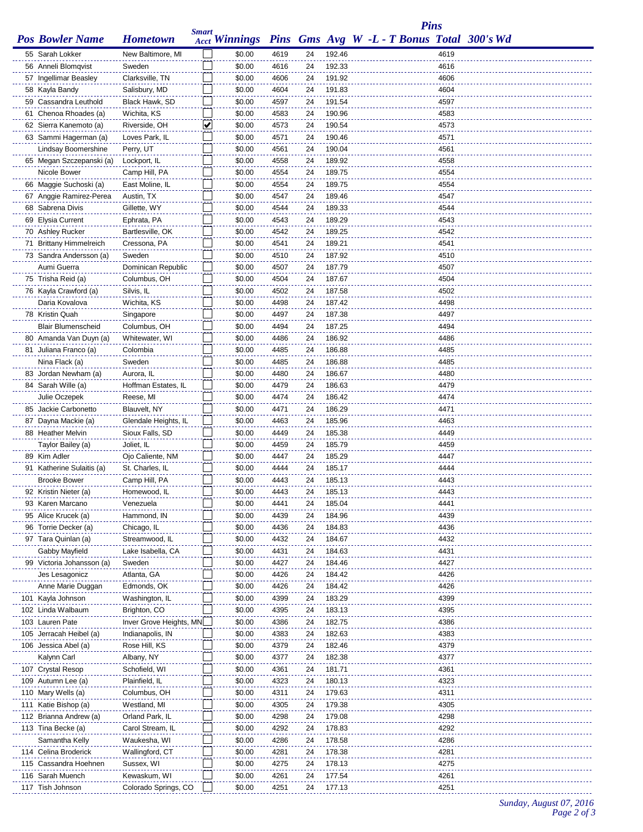|                           |                         |              |                      |      |    |        |  | <b>Pins</b> |                                            |
|---------------------------|-------------------------|--------------|----------------------|------|----|--------|--|-------------|--------------------------------------------|
| <b>Pos Bowler Name</b>    | <b>Hometown</b>         | <b>Smart</b> | <b>Acct Winnings</b> |      |    |        |  |             | Pins Gms Avg W -L - T Bonus Total 300's Wd |
| 55 Sarah Lokker           | New Baltimore, MI       |              | \$0.00               | 4619 | 24 | 192.46 |  | 4619        |                                            |
| 56 Anneli Blomqvist       | Sweden                  |              | \$0.00               | 4616 | 24 | 192.33 |  | 4616        |                                            |
| 57 Ingellimar Beasley     | Clarksville, TN         |              | \$0.00               | 4606 | 24 | 191.92 |  | 4606        |                                            |
| 58 Kayla Bandy            | Salisbury, MD           |              | \$0.00               | 4604 | 24 | 191.83 |  | 4604        |                                            |
| 59 Cassandra Leuthold     | Black Hawk, SD          |              | \$0.00               | 4597 | 24 | 191.54 |  | 4597        |                                            |
| 61 Chenoa Rhoades (a)     | Wichita, KS             |              | \$0.00               | 4583 | 24 | 190.96 |  | 4583        |                                            |
| 62 Sierra Kanemoto (a)    | Riverside, OH           | ⊻            | \$0.00               | 4573 | 24 | 190.54 |  | 4573        |                                            |
| 63 Sammi Hagerman (a)     | Loves Park, IL          |              | \$0.00               | 4571 | 24 | 190.46 |  | 4571        |                                            |
| Lindsay Boomershine       | Perry, UT               |              | \$0.00               | 4561 | 24 | 190.04 |  | 4561        |                                            |
| 65 Megan Szczepanski (a)  | Lockport, IL            |              | \$0.00               | 4558 | 24 | 189.92 |  | 4558        |                                            |
| Nicole Bower              | Camp Hill, PA           |              | \$0.00               | 4554 | 24 | 189.75 |  | 4554        |                                            |
| 66 Maggie Suchoski (a)    | East Moline, IL         |              | \$0.00               | 4554 | 24 | 189.75 |  | 4554        |                                            |
| 67 Anggie Ramirez-Perea   | Austin, TX              |              | \$0.00               | 4547 | 24 | 189.46 |  | 4547        |                                            |
| 68 Sabrena Divis          | Gillette, WY            |              | \$0.00               | 4544 | 24 | 189.33 |  | 4544        |                                            |
| 69 Elysia Current         | Ephrata, PA             |              | \$0.00               | 4543 | 24 | 189.29 |  | 4543        |                                            |
| 70 Ashley Rucker          | Bartlesville, OK        |              | \$0.00               | 4542 | 24 | 189.25 |  | 4542        |                                            |
| 71 Brittany Himmelreich   | Cressona, PA            |              | \$0.00               | 4541 | 24 | 189.21 |  | 4541        |                                            |
| 73 Sandra Andersson (a)   | Sweden                  |              | \$0.00               | 4510 | 24 | 187.92 |  | 4510        |                                            |
| Aumi Guerra               | Dominican Republic      |              | \$0.00               | 4507 | 24 | 187.79 |  | 4507        |                                            |
| 75 Trisha Reid (a)        | Columbus, OH            |              | \$0.00               | 4504 | 24 | 187.67 |  | 4504        |                                            |
| 76 Kayla Crawford (a)     | Silvis, IL              |              | \$0.00               | 4502 | 24 | 187.58 |  | 4502        |                                            |
| Daria Kovalova            | Wichita, KS             |              | \$0.00               | 4498 | 24 | 187.42 |  | 4498        |                                            |
| 78 Kristin Quah           | Singapore               |              | \$0.00               | 4497 | 24 | 187.38 |  | 4497        |                                            |
| <b>Blair Blumenscheid</b> | Columbus, OH            |              | \$0.00               | 4494 | 24 | 187.25 |  | 4494        |                                            |
| 80 Amanda Van Duyn (a)    | Whitewater, WI          |              | \$0.00               | 4486 | 24 | 186.92 |  | 4486        |                                            |
| 81 Juliana Franco (a)     | Colombia                |              | \$0.00               | 4485 | 24 | 186.88 |  | 4485        |                                            |
| Nina Flack (a)            | Sweden                  |              | \$0.00               | 4485 | 24 | 186.88 |  | 4485        |                                            |
| 83 Jordan Newham (a)      | Aurora, IL              |              | \$0.00               | 4480 | 24 | 186.67 |  | 4480        |                                            |
| 84 Sarah Wille (a)        | Hoffman Estates, IL     |              | \$0.00               | 4479 | 24 | 186.63 |  | 4479        |                                            |
| Julie Oczepek             | Reese, MI               |              | \$0.00               | 4474 | 24 | 186.42 |  | 4474        |                                            |
| 85 Jackie Carbonetto      | Blauvelt, NY            |              | \$0.00               | 4471 | 24 | 186.29 |  | 4471        |                                            |
| 87 Dayna Mackie (a)       | Glendale Heights, IL    |              | \$0.00               | 4463 | 24 | 185.96 |  | 4463        |                                            |
| 88 Heather Melvin         | Sioux Falls, SD         |              | \$0.00               | 4449 | 24 | 185.38 |  | 4449        |                                            |
| Taylor Bailey (a)         | Joliet, IL              |              | \$0.00               | 4459 | 24 | 185.79 |  | 4459        |                                            |
| 89 Kim Adler              | Ojo Caliente, NM        |              | \$0.00               | 4447 | 24 | 185.29 |  | 4447        |                                            |
| 91 Katherine Sulaitis (a) | St. Charles, IL         |              | \$0.00               | 4444 | 24 | 185.17 |  | 4444        |                                            |
| <b>Brooke Bower</b>       | Camp Hill, PA           |              | \$0.00               | 4443 | 24 | 185.13 |  | 4443        |                                            |
| 92 Kristin Nieter (a)     | Homewood, IL            |              | \$0.00               | 4443 | 24 | 185.13 |  | 4443        |                                            |
| 93 Karen Marcano          | Venezuela               |              | \$0.00               | 4441 | 24 | 185.04 |  | 4441        |                                            |
| 95 Alice Krucek (a)       | Hammond, IN             |              | \$0.00               | 4439 | 24 | 184.96 |  | 4439        |                                            |
| 96 Torrie Decker (a)      | Chicago, IL             |              | \$0.00               | 4436 | 24 | 184.83 |  | 4436        |                                            |
| 97 Tara Quinlan (a)       | Streamwood, IL          |              | \$0.00               | 4432 | 24 | 184.67 |  | 4432        |                                            |
| Gabby Mayfield            | Lake Isabella, CA       |              | \$0.00               | 4431 | 24 | 184.63 |  | 4431        |                                            |
| 99 Victoria Johansson (a) | Sweden                  |              | \$0.00               | 4427 | 24 | 184.46 |  | 4427        |                                            |
| Jes Lesagonicz            | Atlanta, GA             |              | \$0.00               | 4426 | 24 | 184.42 |  | 4426        |                                            |
| Anne Marie Duggan         | Edmonds, OK             |              | \$0.00               | 4426 | 24 | 184.42 |  | 4426        |                                            |
| 101 Kayla Johnson         | Washington, IL          |              | \$0.00               | 4399 | 24 | 183.29 |  | 4399        |                                            |
| 102 Linda Walbaum         | Brighton, CO            |              | \$0.00               | 4395 | 24 | 183.13 |  | 4395        |                                            |
| 103 Lauren Pate           | Inver Grove Heights, MN |              | \$0.00               | 4386 | 24 | 182.75 |  | 4386        |                                            |
| 105 Jerracah Heibel (a)   | Indianapolis, IN        |              | \$0.00               | 4383 | 24 | 182.63 |  | 4383        |                                            |
| 106 Jessica Abel (a)      | Rose Hill, KS           |              | \$0.00               | 4379 | 24 | 182.46 |  | 4379        |                                            |
| Kalynn Carl               | Albany, NY              |              | \$0.00               | 4377 | 24 | 182.38 |  | 4377        |                                            |
| 107 Crystal Resop         | Schofield, WI           |              | \$0.00               | 4361 | 24 | 181.71 |  | 4361        |                                            |
| 109 Autumn Lee (a)        | Plainfield, IL          |              | \$0.00               | 4323 | 24 | 180.13 |  | 4323        |                                            |
| 110 Mary Wells (a)        | Columbus, OH            |              | \$0.00               | 4311 | 24 | 179.63 |  | 4311        |                                            |
| 111 Katie Bishop (a)      | Westland, MI            |              | \$0.00               | 4305 | 24 | 179.38 |  | 4305        |                                            |
| 112 Brianna Andrew (a)    | Orland Park, IL         |              | \$0.00               | 4298 | 24 | 179.08 |  | 4298        |                                            |
| 113 Tina Becke (a)        | Carol Stream, IL        |              | \$0.00               | 4292 | 24 | 178.83 |  | 4292        |                                            |
| Samantha Kelly            | Waukesha, WI            |              | \$0.00               | 4286 | 24 | 178.58 |  | 4286        |                                            |
| 114 Celina Broderick      | Wallingford, CT         |              | \$0.00               | 4281 | 24 | 178.38 |  | 4281        |                                            |
| 115 Cassandra Hoehnen     | Sussex, WI              |              | \$0.00               | 4275 | 24 | 178.13 |  | 4275        |                                            |
| 116 Sarah Muench          | Kewaskum, WI            |              | \$0.00               | 4261 | 24 | 177.54 |  | 4261        |                                            |
| 117 Tish Johnson          | Colorado Springs, CO    |              | \$0.00               | 4251 | 24 | 177.13 |  | 4251        |                                            |

## *Sunday, August 07, 2016 Page 2 of 3*